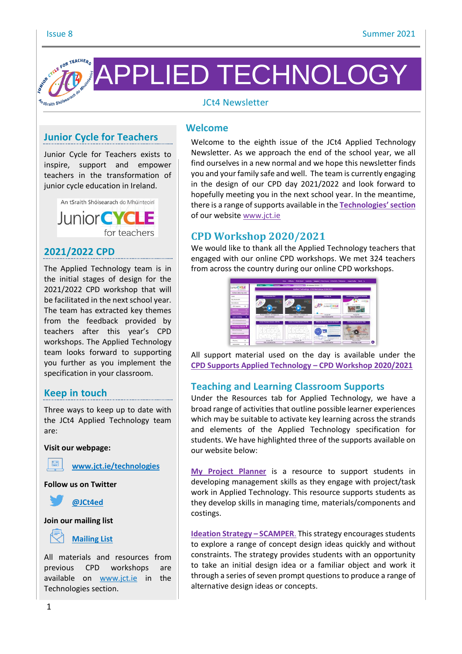

# **Junior Cycle for Teachers**

Junior Cycle for Teachers exists to inspire, support and empower teachers in the transformation of junior cycle education in Ireland.



## **2021/2022 CPD**

The Applied Technology team is in the initial stages of design for the 2021/2022 CPD workshop that will be facilitated in the next school year. The team has extracted key themes from the feedback provided by teachers after this year's CPD workshops. The Applied Technology team looks forward to supporting you further as you implement the specification in your classroom.

## **Keep in touch**

Three ways to keep up to date with the JCt4 Applied Technology team are:

**Visit our webpage:**



**Follow us on Twitter**



#### **Join our mailing list**



## **[Mailing](https://docs.google.com/forms/d/1Qy2bpfqL6a5-k-qMYT_MtP0NL0oxLNUZKlxq1hI_gzY/viewform?edit_requested=true) List**

All materials and resources from previous CPD workshops are available on [www.jct.ie](http://www.jct.ie/) in the Technologies section.

#### **Welcome**

Welcome to the eighth issue of the JCt4 Applied Technology Newsletter. As we approach the end of the school year, we all find ourselves in a new normal and we hope this newsletter finds you and your family safe and well. The team is currently engaging in the design of our CPD day 2021/2022 and look forward to hopefully meeting you in the next school year. In the meantime, there is a range ofsupports available in the **[Technologies](https://www.jct.ie/technologies/technologies)'section** of our website [www.jct.ie](http://www.jct.ie/)

## **CPD Workshop 2020/2021**

We would like to thank all the Applied Technology teachers that engaged with our online CPD workshops. We met 324 teachers from across the country during our online CPD workshops.



All support material used on the day is available under the **CPD Supports Applied [Technology](https://www.jct.ie/technologies/cpd_supports_applied_technology_cpd_workshops_2020_2021) – CPD Workshop 2020/2021**

## **Teaching and Learning Classroom Supports**

Under the Resources tab for Applied Technology, we have a broad range of activities that outline possible learner experiences which may be suitable to activate key learning across the strands and elements of the Applied Technology specification for students. We have highlighted three of the supports available on our website below:

**My Project [Planner](https://www.jct.ie/technologies/resources_applied_technology#MyProjectPlannerMicrosoftExcelVersion)** is a resource to support students in developing management skills as they engage with project/task work in Applied Technology. This resource supports students as they develop skills in managing time, materials/components and costings.

**Ideation Strategy – [SCAMPER](https://www.jct.ie/perch/resources/technologies/ideation-strategy-scamper.pdf). This strategy encourages students** to explore a range of concept design ideas quickly and without constraints. The strategy provides students with an opportunity to take an initial design idea or a familiar object and work it through a series of seven prompt questions to produce a range of alternative design ideas or concepts.